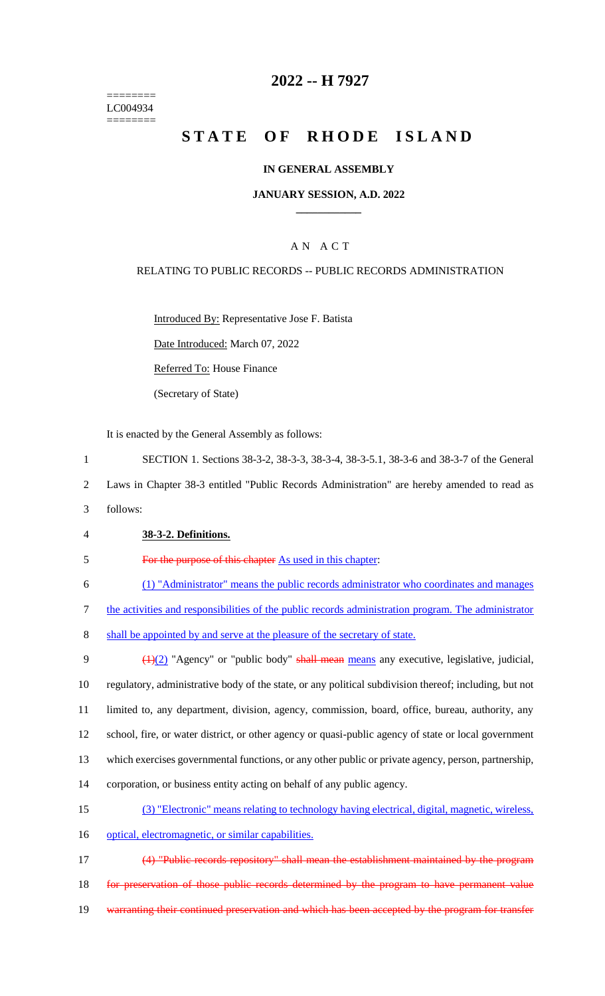======== LC004934 ========

### **2022 -- H 7927**

# **STATE OF RHODE ISLAND**

### **IN GENERAL ASSEMBLY**

### **JANUARY SESSION, A.D. 2022 \_\_\_\_\_\_\_\_\_\_\_\_**

### A N A C T

### RELATING TO PUBLIC RECORDS -- PUBLIC RECORDS ADMINISTRATION

Introduced By: Representative Jose F. Batista

Date Introduced: March 07, 2022

Referred To: House Finance

(Secretary of State)

It is enacted by the General Assembly as follows:

1 SECTION 1. Sections 38-3-2, 38-3-3, 38-3-4, 38-3-5.1, 38-3-6 and 38-3-7 of the General

2 Laws in Chapter 38-3 entitled "Public Records Administration" are hereby amended to read as

- 3 follows:
- 4 **38-3-2. Definitions.**

5 For the purpose of this chapter As used in this chapter:

6 (1) "Administrator" means the public records administrator who coordinates and manages

7 the activities and responsibilities of the public records administration program. The administrator

8 shall be appointed by and serve at the pleasure of the secretary of state.

 $\left(\frac{1}{2}\right)$  "Agency" or "public body" shall mean means any executive, legislative, judicial, regulatory, administrative body of the state, or any political subdivision thereof; including, but not limited to, any department, division, agency, commission, board, office, bureau, authority, any school, fire, or water district, or other agency or quasi-public agency of state or local government which exercises governmental functions, or any other public or private agency, person, partnership, corporation, or business entity acting on behalf of any public agency.

- 15 (3) "Electronic" means relating to technology having electrical, digital, magnetic, wireless,
- 16 optical, electromagnetic, or similar capabilities.

17 (4) "Public records repository" shall mean the establishment maintained by the program 18 for preservation of those public records determined by the program to have permanent value 19 warranting their continued preservation and which has been accepted by the program for transfer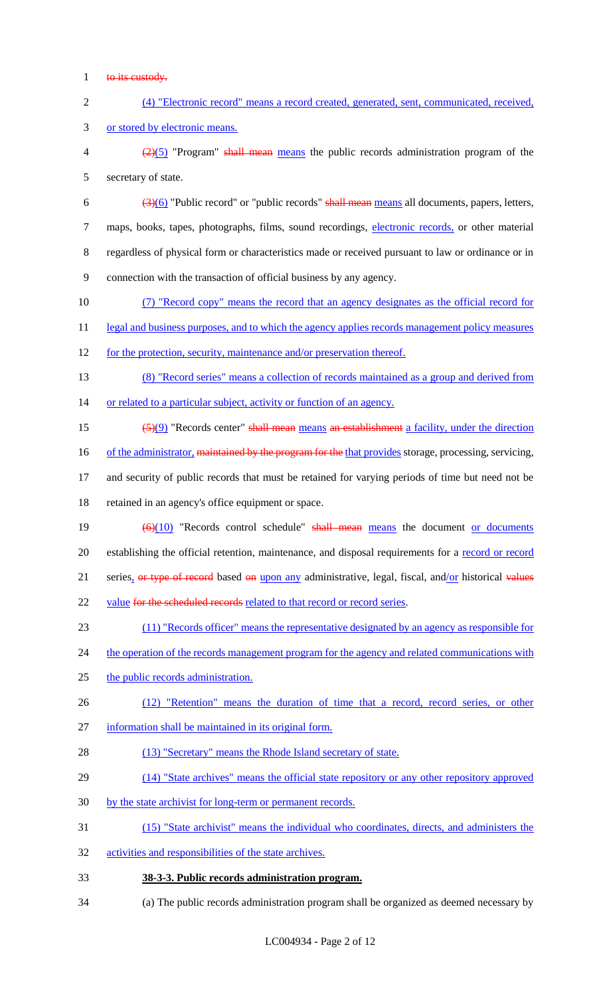- 1 to its custody.
- 2 (4) "Electronic record" means a record created, generated, sent, communicated, received, 3 or stored by electronic means.
- $\frac{2}{2}(5)$  "Program" shall mean means the public records administration program of the 5 secretary of state.
- 6  $\left(\frac{3(6)}{2}\right)$  "Public record" or "public records" shall mean means all documents, papers, letters, 7 maps, books, tapes, photographs, films, sound recordings, electronic records, or other material 8 regardless of physical form or characteristics made or received pursuant to law or ordinance or in 9 connection with the transaction of official business by any agency.
- 10 (7) "Record copy" means the record that an agency designates as the official record for
- 11 legal and business purposes, and to which the agency applies records management policy measures
- 12 for the protection, security, maintenance and/or preservation thereof.
- 13 (8) "Record series" means a collection of records maintained as a group and derived from 14 or related to a particular subject, activity or function of an agency.
- 15 (5)(9) "Records center" shall mean means an establishment a facility, under the direction
- 16 of the administrator, maintained by the program for the that provides storage, processing, servicing,
- 17 and security of public records that must be retained for varying periods of time but need not be 18 retained in an agency's office equipment or space.
- 19  $\left(\frac{6}{10}\right)$  "Records control schedule" shall mean means the document or documents 20 establishing the official retention, maintenance, and disposal requirements for a record or record 21 series, or type of record based on upon any administrative, legal, fiscal, and/or historical values 22 value for the scheduled records related to that record or record series.
- 23 (11) "Records officer" means the representative designated by an agency as responsible for
- 24 the operation of the records management program for the agency and related communications with
- 25 the public records administration.
- 26 (12) "Retention" means the duration of time that a record, record series, or other
- 27 information shall be maintained in its original form.
- 28 (13) "Secretary" means the Rhode Island secretary of state.
- 29 (14) "State archives" means the official state repository or any other repository approved
- 30 by the state archivist for long-term or permanent records.
- 31 (15) "State archivist" means the individual who coordinates, directs, and administers the
- 32 activities and responsibilities of the state archives.
- 33 **38-3-3. Public records administration program.**
- 34 (a) The public records administration program shall be organized as deemed necessary by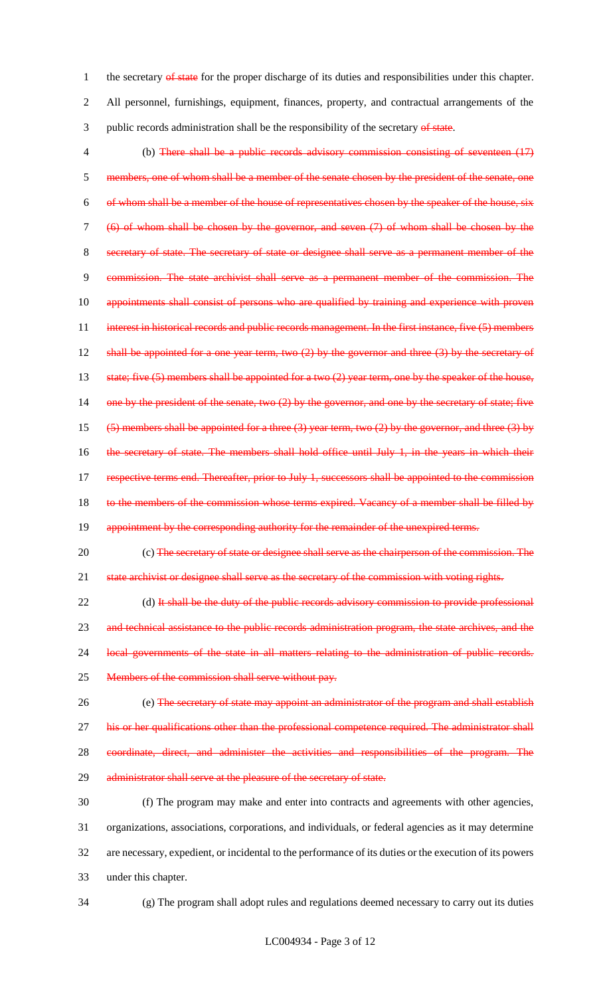1 the secretary of state for the proper discharge of its duties and responsibilities under this chapter. 2 All personnel, furnishings, equipment, finances, property, and contractual arrangements of the 3 public records administration shall be the responsibility of the secretary of state.

4 (b) There shall be a public records advisory commission consisting of seventeen (17) 5 members, one of whom shall be a member of the senate chosen by the president of the senate, one 6 of whom shall be a member of the house of representatives chosen by the speaker of the house, 7 (6) of whom shall be chosen by the governor, and seven (7) of whom shall be chosen by the 8 secretary of state. The secretary of state or designee shall serve as a permanent member of the 9 commission. The state archivist shall serve as a permanent member of the commission. The 10 appointments shall consist of persons who are qualified by training and experience with proven 11 interest in historical records and public records management. In the first instance, five (5) members 12 shall be appointed for a one year term, two (2) by the governor and three (3) by the secretary of 13 state; five (5) members shall be appointed for a two (2) year term, one by the speaker of the house, 14 one by the president of the senate, two (2) by the governor, and one by the secretary of state; five 15 (5) members shall be appointed for a three (3) year term, two (2) by the governor, and three (3) by 16 the secretary of state. The members shall hold office until July 1, in the years in which their 17 respective terms end. Thereafter, prior to July 1, successors shall be appointed to the commission 18 to the members of the commission whose terms expired. Vacancy of a member shall be filled by 19 appointment by the corresponding authority for the remainder of the unexpired terms.

20 (c) The secretary of state or designee shall serve as the chairperson of the commission. The 21 state archivist or designee shall serve as the secretary of the commission with voting rights.

22 (d) It shall be the duty of the public records advisory commission to provide professional 23 and technical assistance to the public records administration program, the state archives, and the 24 local governments of the state in all matters relating to the administration of public records. 25 Members of the commission shall serve without pay.

26 (e) The secretary of state may appoint an administrator of the program and shall establish 27 his or her qualifications other than the professional competence required. The administrator shall 28 coordinate, direct, and administer the activities and responsibilities of the program. The 29 administrator shall serve at the pleasure of the secretary of state.

 (f) The program may make and enter into contracts and agreements with other agencies, organizations, associations, corporations, and individuals, or federal agencies as it may determine are necessary, expedient, or incidental to the performance of its duties or the execution of its powers under this chapter.

34 (g) The program shall adopt rules and regulations deemed necessary to carry out its duties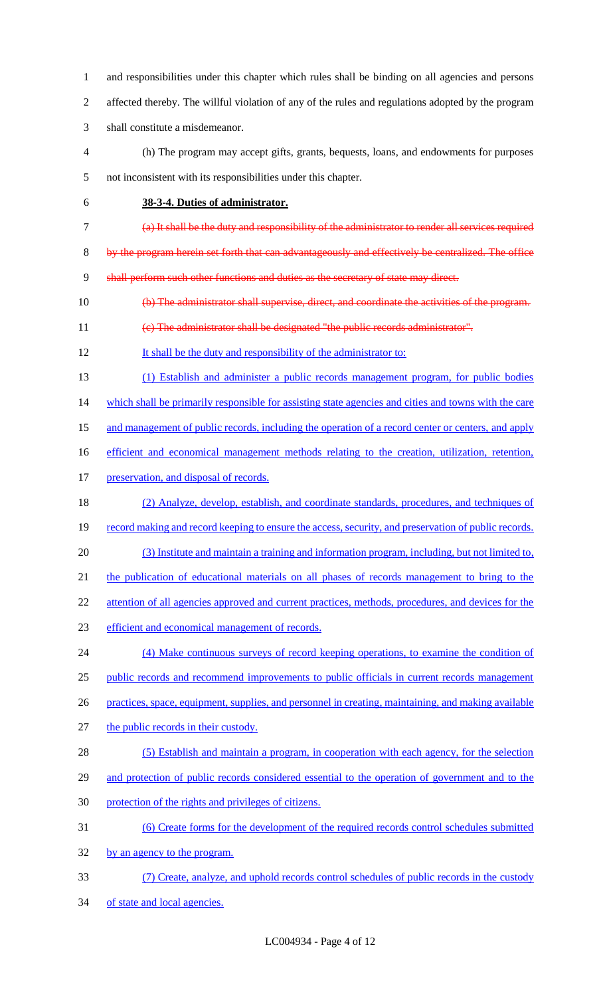and responsibilities under this chapter which rules shall be binding on all agencies and persons affected thereby. The willful violation of any of the rules and regulations adopted by the program shall constitute a misdemeanor.

- (h) The program may accept gifts, grants, bequests, loans, and endowments for purposes not inconsistent with its responsibilities under this chapter.
- 

### **38-3-4. Duties of administrator.**

- (a) It shall be the duty and responsibility of the administrator to render all services required
- 8 by the program herein set forth that can advantageously and effectively be centralized. The office

9 shall perform such other functions and duties as the secretary of state may direct.

- (b) The administrator shall supervise, direct, and coordinate the activities of the program.
- (c) The administrator shall be designated "the public records administrator".
- It shall be the duty and responsibility of the administrator to:
- (1) Establish and administer a public records management program, for public bodies

14 which shall be primarily responsible for assisting state agencies and cities and towns with the care

- 15 and management of public records, including the operation of a record center or centers, and apply
- efficient and economical management methods relating to the creation, utilization, retention,
- 17 preservation, and disposal of records.
- (2) Analyze, develop, establish, and coordinate standards, procedures, and techniques of 19 record making and record keeping to ensure the access, security, and preservation of public records.
- (3) Institute and maintain a training and information program, including, but not limited to,
- the publication of educational materials on all phases of records management to bring to the

22 attention of all agencies approved and current practices, methods, procedures, and devices for the

efficient and economical management of records.

24 (4) Make continuous surveys of record keeping operations, to examine the condition of 25 public records and recommend improvements to public officials in current records management practices, space, equipment, supplies, and personnel in creating, maintaining, and making available

- the public records in their custody.
- 28 (5) Establish and maintain a program, in cooperation with each agency, for the selection 29 and protection of public records considered essential to the operation of government and to the protection of the rights and privileges of citizens.
- (6) Create forms for the development of the required records control schedules submitted
- by an agency to the program.
- (7) Create, analyze, and uphold records control schedules of public records in the custody of state and local agencies.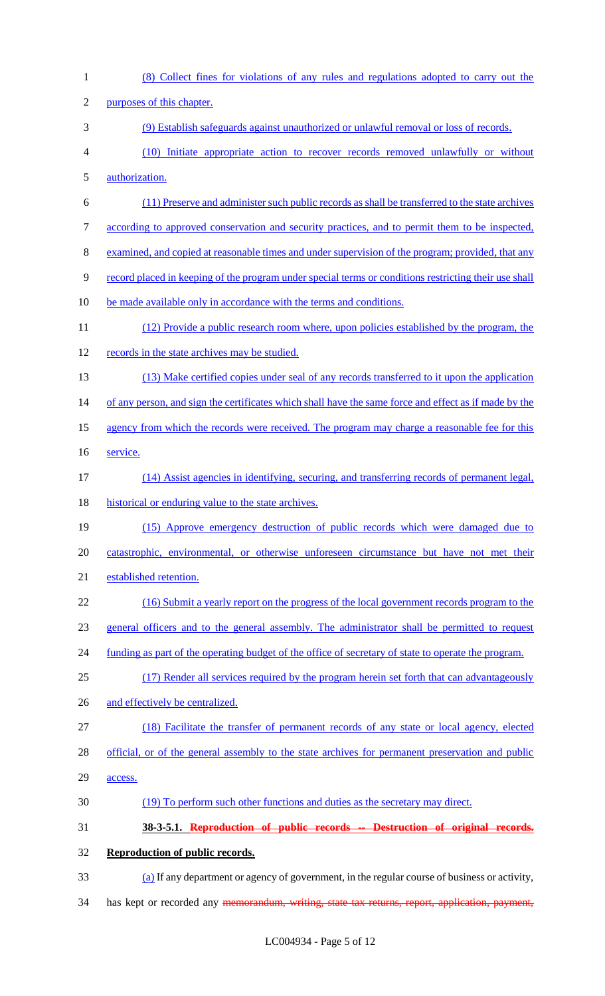| $\mathbf{1}$ | (8) Collect fines for violations of any rules and regulations adopted to carry out the                     |
|--------------|------------------------------------------------------------------------------------------------------------|
| $\mathbf{2}$ | purposes of this chapter.                                                                                  |
| 3            | (9) Establish safeguards against unauthorized or unlawful removal or loss of records.                      |
| 4            | (10) Initiate appropriate action to recover records removed unlawfully or without                          |
| 5            | authorization.                                                                                             |
| 6            | (11) Preserve and administer such public records as shall be transferred to the state archives             |
| 7            | according to approved conservation and security practices, and to permit them to be inspected,             |
| 8            | examined, and copied at reasonable times and under supervision of the program; provided, that any          |
| 9            | record placed in keeping of the program under special terms or conditions restricting their use shall      |
| 10           | be made available only in accordance with the terms and conditions.                                        |
| 11           | (12) Provide a public research room where, upon policies established by the program, the                   |
| 12           | records in the state archives may be studied.                                                              |
| 13           | (13) Make certified copies under seal of any records transferred to it upon the application                |
| 14           | of any person, and sign the certificates which shall have the same force and effect as if made by the      |
| 15           | agency from which the records were received. The program may charge a reasonable fee for this              |
| 16           | service.                                                                                                   |
| 17           | (14) Assist agencies in identifying, securing, and transferring records of permanent legal,                |
| 18           | historical or enduring value to the state archives.                                                        |
| 19           | (15) Approve emergency destruction of public records which were damaged due to                             |
| 20           | catastrophic, environmental, or otherwise unforeseen circumstance but have not met their                   |
| 21           | established retention.                                                                                     |
| 22           | (16) Submit a yearly report on the progress of the local government records program to the                 |
| 23           | general officers and to the general assembly. The administrator shall be permitted to request              |
| 24           | <u>funding as part of the operating budget of the office of secretary of state to operate the program.</u> |
| 25           | (17) Render all services required by the program herein set forth that can advantageously                  |
| 26           | and effectively be centralized.                                                                            |
| 27           | (18) Facilitate the transfer of permanent records of any state or local agency, elected                    |
| 28           | official, or of the general assembly to the state archives for permanent preservation and public           |
| 29           | access.                                                                                                    |
| 30           | (19) To perform such other functions and duties as the secretary may direct.                               |
| 31           | 38-3-5.1. Reproduction of public records -- Destruction of original records.                               |
| 32           | Reproduction of public records.                                                                            |
| 33           | (a) If any department or agency of government, in the regular course of business or activity,              |
| 34           | has kept or recorded any <del>memorandum, writing, state tax returns, report, application, payment,</del>  |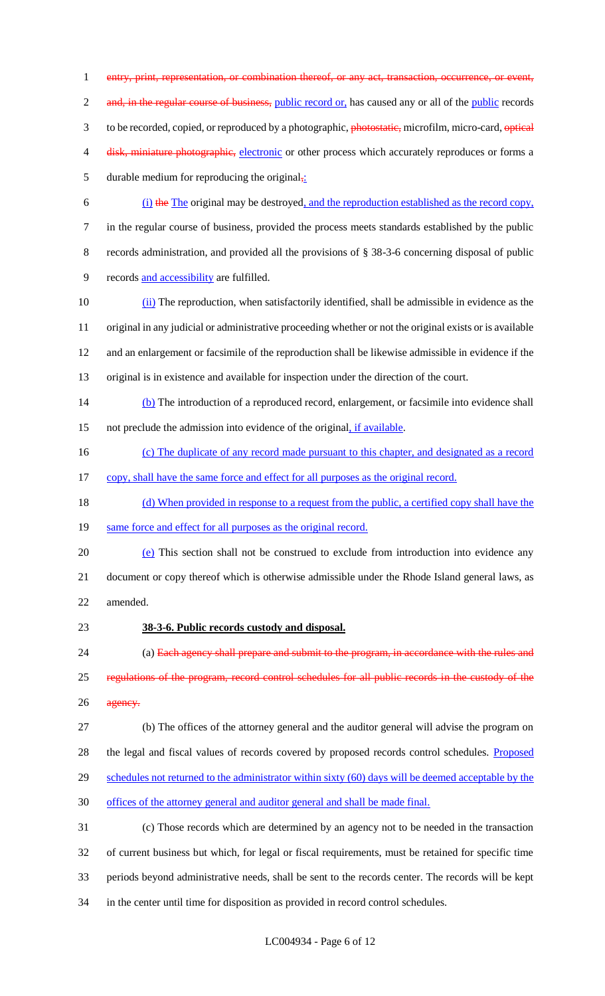1 entry, print, representation, or combination thereof, or any act, transaction, occurrence, or event, 2 and, in the regular course of business, public record or, has caused any or all of the public records 3 to be recorded, copied, or reproduced by a photographic, photostatic, microfilm, micro-card, optical 4 disk, miniature photographic, electronic or other process which accurately reproduces or forms a 5 durable medium for reproducing the original $\frac{1}{2}$ . 6 (i) the The original may be destroyed, and the reproduction established as the record copy,

7 in the regular course of business, provided the process meets standards established by the public 8 records administration, and provided all the provisions of § 38-3-6 concerning disposal of public 9 records and accessibility are fulfilled.

 (ii) The reproduction, when satisfactorily identified, shall be admissible in evidence as the original in any judicial or administrative proceeding whether or not the original exists or is available and an enlargement or facsimile of the reproduction shall be likewise admissible in evidence if the original is in existence and available for inspection under the direction of the court.

14 (b) The introduction of a reproduced record, enlargement, or facsimile into evidence shall 15 not preclude the admission into evidence of the original, if available.

- 16 (c) The duplicate of any record made pursuant to this chapter, and designated as a record
- 17 copy, shall have the same force and effect for all purposes as the original record.
- 18 (d) When provided in response to a request from the public, a certified copy shall have the

19 same force and effect for all purposes as the original record.

20 (e) This section shall not be construed to exclude from introduction into evidence any 21 document or copy thereof which is otherwise admissible under the Rhode Island general laws, as 22 amended.

# 23 **38-3-6. Public records custody and disposal.**

24 (a) Each agency shall prepare and submit to the program, in accordance with the rules and 25 regulations of the program, record control schedules for all public records in the custody of the 26 agency.

27 (b) The offices of the attorney general and the auditor general will advise the program on 28 the legal and fiscal values of records covered by proposed records control schedules. Proposed

29 schedules not returned to the administrator within sixty (60) days will be deemed acceptable by the

30 offices of the attorney general and auditor general and shall be made final.

 (c) Those records which are determined by an agency not to be needed in the transaction of current business but which, for legal or fiscal requirements, must be retained for specific time periods beyond administrative needs, shall be sent to the records center. The records will be kept in the center until time for disposition as provided in record control schedules.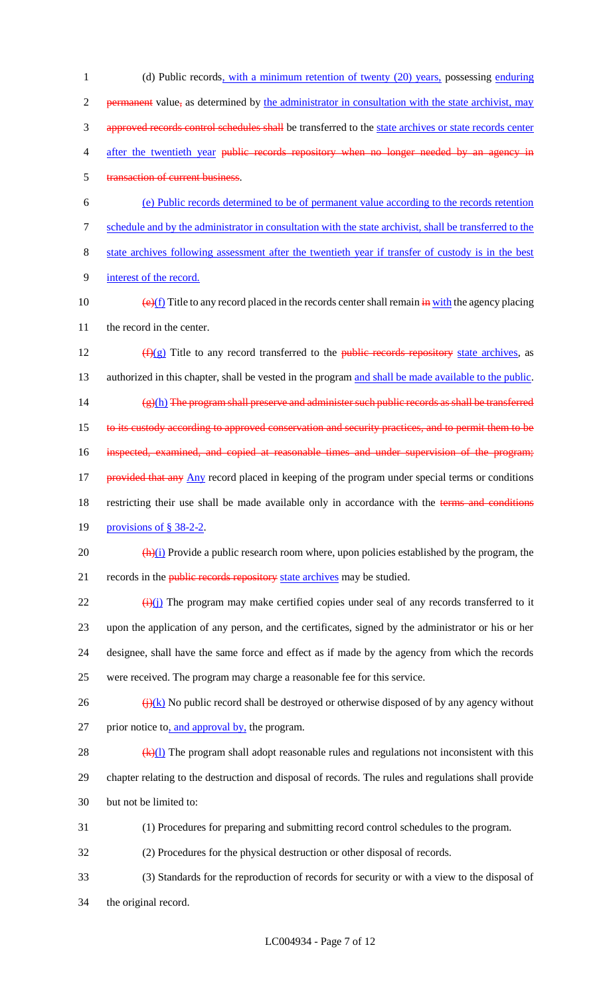1 (d) Public records, with a minimum retention of twenty (20) years, possessing enduring 2 permanent value, as determined by the administrator in consultation with the state archivist, may 3 approved records control schedules shall be transferred to the state archives or state records center 4 after the twentieth year public records repository when no longer needed by an agency in 5 transaction of current business. 6 (e) Public records determined to be of permanent value according to the records retention 7 schedule and by the administrator in consultation with the state archivist, shall be transferred to the 8 state archives following assessment after the twentieth year if transfer of custody is in the best 9 interest of the record. 10  $\left(\frac{e}{f}\right)$  Title to any record placed in the records center shall remain  $\frac{e}{f}$  with the agency placing 11 the record in the center. 12  $(f)(g)$  Title to any record transferred to the public records repository state archives, as 13 authorized in this chapter, shall be vested in the program and shall be made available to the public. 14 (g)(h) The program shall preserve and administer such public records as shall be transferred 15 to its custody according to approved conservation and security practices, and to permit them to be

16 inspected, examined, and copied at reasonable times and under supervision of the program;

17 provided that any Any record placed in keeping of the program under special terms or conditions

18 restricting their use shall be made available only in accordance with the terms and conditions

19 provisions of § 38-2-2.

20  $\frac{(\mathbf{h})(i)}{(\mathbf{h})(i)}$  Provide a public research room where, upon policies established by the program, the 21 records in the *public records repository state archives* may be studied.

 $\frac{1}{22}$  (i)(j) The program may make certified copies under seal of any records transferred to it upon the application of any person, and the certificates, signed by the administrator or his or her designee, shall have the same force and effect as if made by the agency from which the records were received. The program may charge a reasonable fee for this service.

 $\frac{f(x)}{g(x)}$  No public record shall be destroyed or otherwise disposed of by any agency without 27 prior notice to, and approval by, the program.

28  $(k)(1)$  The program shall adopt reasonable rules and regulations not inconsistent with this 29 chapter relating to the destruction and disposal of records. The rules and regulations shall provide 30 but not be limited to:

31 (1) Procedures for preparing and submitting record control schedules to the program.

32 (2) Procedures for the physical destruction or other disposal of records.

33 (3) Standards for the reproduction of records for security or with a view to the disposal of 34 the original record.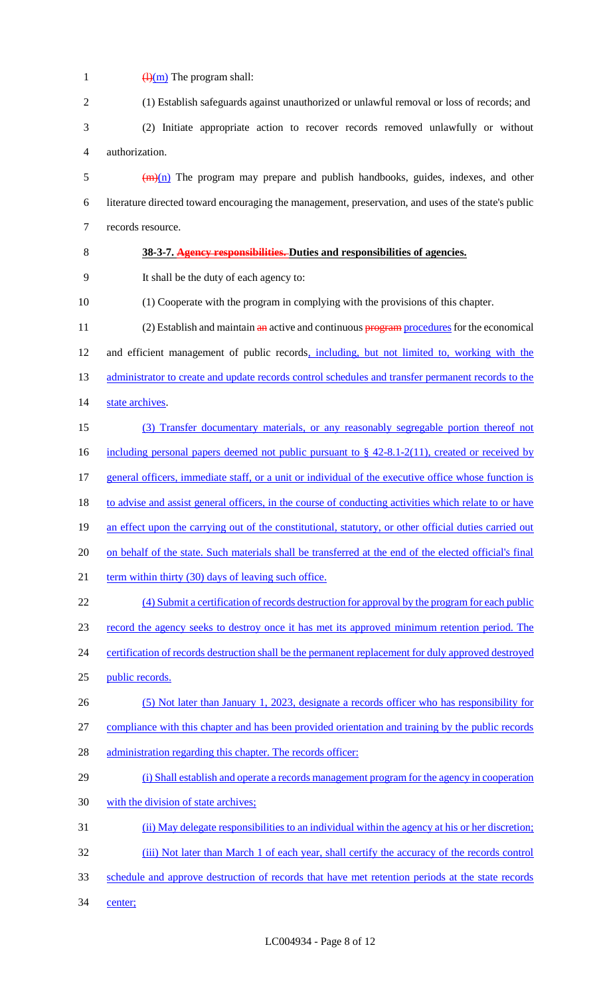| 1              | $\frac{(\mathrm{H})(\mathrm{m})}{(\mathrm{H})(\mathrm{m})}$ The program shall:                         |
|----------------|--------------------------------------------------------------------------------------------------------|
| $\overline{2}$ | (1) Establish safeguards against unauthorized or unlawful removal or loss of records; and              |
| 3              | (2) Initiate appropriate action to recover records removed unlawfully or without                       |
| 4              | authorization.                                                                                         |
| 5              | $\left(\frac{m}{n}\right)$ The program may prepare and publish handbooks, guides, indexes, and other   |
| 6              | literature directed toward encouraging the management, preservation, and uses of the state's public    |
| $\tau$         | records resource.                                                                                      |
| 8              | 38-3-7. Agency responsibilities. Duties and responsibilities of agencies.                              |
| 9              | It shall be the duty of each agency to:                                                                |
| 10             | (1) Cooperate with the program in complying with the provisions of this chapter.                       |
| 11             | (2) Establish and maintain an active and continuous program procedures for the economical              |
| 12             | and efficient management of public records, including, but not limited to, working with the            |
| 13             | administrator to create and update records control schedules and transfer permanent records to the     |
| 14             | state archives.                                                                                        |
| 15             | (3) Transfer documentary materials, or any reasonably segregable portion thereof not                   |
| 16             | including personal papers deemed not public pursuant to $\S$ 42-8.1-2(11), created or received by      |
| 17             | general officers, immediate staff, or a unit or individual of the executive office whose function is   |
| 18             | to advise and assist general officers, in the course of conducting activities which relate to or have  |
| 19             | an effect upon the carrying out of the constitutional, statutory, or other official duties carried out |
| 20             | on behalf of the state. Such materials shall be transferred at the end of the elected official's final |
| 21             | term within thirty (30) days of leaving such office.                                                   |
| 22             | (4) Submit a certification of records destruction for approval by the program for each public          |
| 23             | record the agency seeks to destroy once it has met its approved minimum retention period. The          |
| 24             | certification of records destruction shall be the permanent replacement for duly approved destroyed    |
| 25             | public records.                                                                                        |
| 26             | (5) Not later than January 1, 2023, designate a records officer who has responsibility for             |
| 27             | compliance with this chapter and has been provided orientation and training by the public records      |
| 28             | administration regarding this chapter. The records officer:                                            |
| 29             | (i) Shall establish and operate a records management program for the agency in cooperation             |
| 30             | with the division of state archives;                                                                   |
| 31             | (ii) May delegate responsibilities to an individual within the agency at his or her discretion;        |
| 32             | (iii) Not later than March 1 of each year, shall certify the accuracy of the records control           |
| 33             | schedule and approve destruction of records that have met retention periods at the state records       |
| 34             | center;                                                                                                |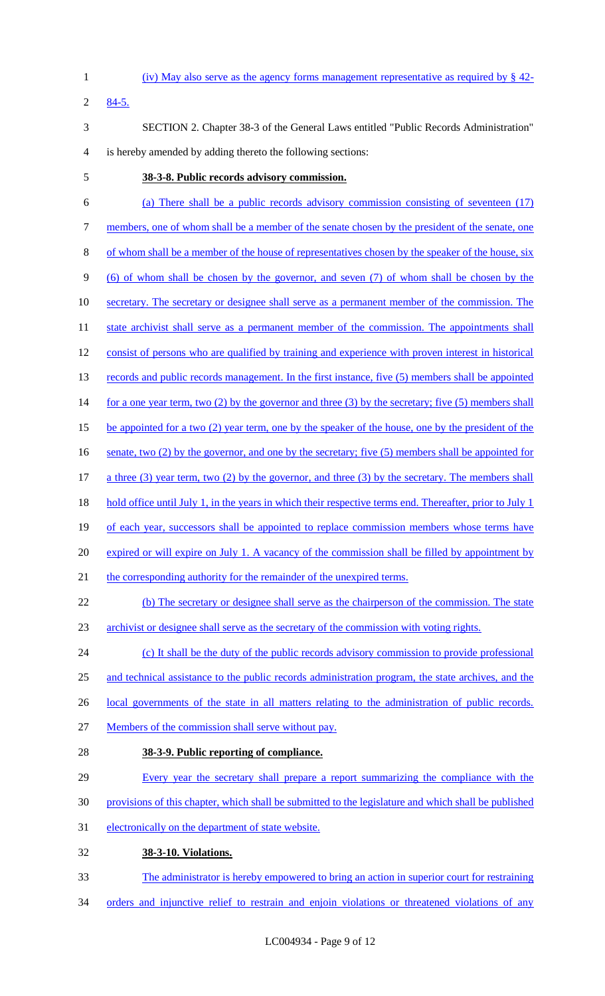- 1 (iv) May also serve as the agency forms management representative as required by § 42-
- 2 84-5.
- 3 SECTION 2. Chapter 38-3 of the General Laws entitled "Public Records Administration" 4 is hereby amended by adding thereto the following sections:
- 

### 5 **38-3-8. Public records advisory commission.**

- 6 (a) There shall be a public records advisory commission consisting of seventeen (17) 7 members, one of whom shall be a member of the senate chosen by the president of the senate, one 8 of whom shall be a member of the house of representatives chosen by the speaker of the house, six 9 (6) of whom shall be chosen by the governor, and seven (7) of whom shall be chosen by the 10 secretary. The secretary or designee shall serve as a permanent member of the commission. The 11 state archivist shall serve as a permanent member of the commission. The appointments shall 12 consist of persons who are qualified by training and experience with proven interest in historical 13 records and public records management. In the first instance, five (5) members shall be appointed 14 for a one year term, two (2) by the governor and three (3) by the secretary; five (5) members shall 15 be appointed for a two (2) year term, one by the speaker of the house, one by the president of the 16 senate, two (2) by the governor, and one by the secretary; five (5) members shall be appointed for 17 a three (3) year term, two (2) by the governor, and three (3) by the secretary. The members shall 18 hold office until July 1, in the years in which their respective terms end. Thereafter, prior to July 1 19 of each year, successors shall be appointed to replace commission members whose terms have 20 expired or will expire on July 1. A vacancy of the commission shall be filled by appointment by 21 the corresponding authority for the remainder of the unexpired terms. 22 (b) The secretary or designee shall serve as the chairperson of the commission. The state 23 archivist or designee shall serve as the secretary of the commission with voting rights. 24 (c) It shall be the duty of the public records advisory commission to provide professional 25 and technical assistance to the public records administration program, the state archives, and the 26 local governments of the state in all matters relating to the administration of public records. 27 Members of the commission shall serve without pay. 28 **38-3-9. Public reporting of compliance.**  29 Every year the secretary shall prepare a report summarizing the compliance with the 30 provisions of this chapter, which shall be submitted to the legislature and which shall be published 31 electronically on the department of state website. 32 **38-3-10. Violations.**  33 The administrator is hereby empowered to bring an action in superior court for restraining
- 34 orders and injunctive relief to restrain and enjoin violations or threatened violations of any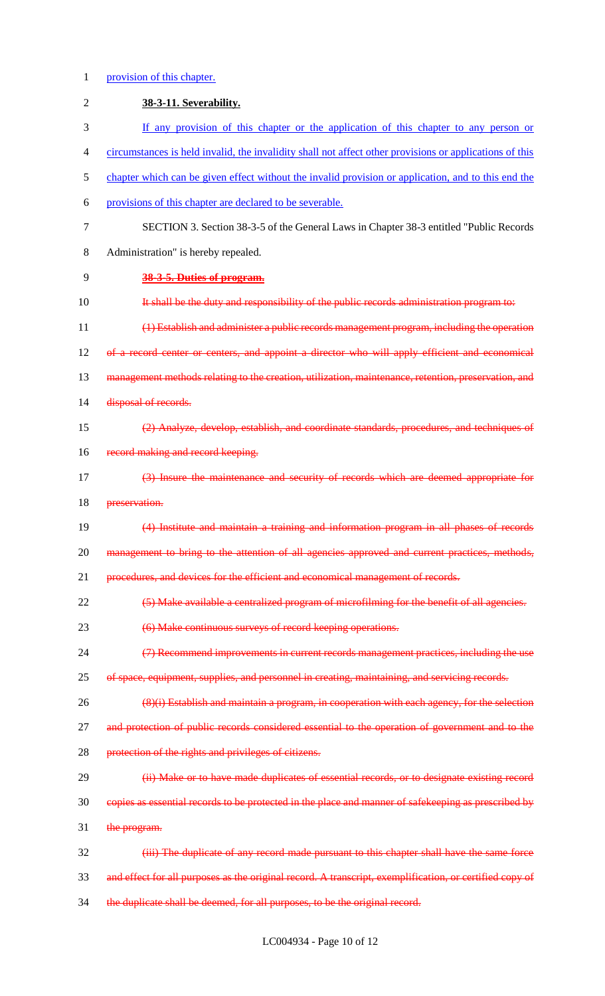# 1 provision of this chapter.

| $\overline{2}$ | 38-3-11. Severability.                                                                                  |
|----------------|---------------------------------------------------------------------------------------------------------|
| 3              | If any provision of this chapter or the application of this chapter to any person or                    |
| $\overline{4}$ | circumstances is held invalid, the invalidity shall not affect other provisions or applications of this |
| 5              | chapter which can be given effect without the invalid provision or application, and to this end the     |
| 6              | provisions of this chapter are declared to be severable.                                                |
| $\overline{7}$ | SECTION 3. Section 38-3-5 of the General Laws in Chapter 38-3 entitled "Public Records"                 |
| 8              | Administration" is hereby repealed.                                                                     |
| 9              | 38-3-5. Duties of program.                                                                              |
| 10             | It shall be the duty and responsibility of the public records administration program to:                |
| 11             | (1) Establish and administer a public records management program, including the operation               |
| 12             | of a record center or centers, and appoint a director who will apply efficient and economical           |
| 13             | management methods relating to the creation, utilization, maintenance, retention, preservation, and     |
| 14             | disposal of records.                                                                                    |
| 15             | (2) Analyze, develop, establish, and coordinate standards, procedures, and techniques of                |
| 16             | record making and record keeping.                                                                       |
| 17             | (3) Insure the maintenance and security of records which are deemed appropriate for                     |
| 18             | preservation.                                                                                           |
| 19             | (4) Institute and maintain a training and information program in all phases of records                  |
| 20             | management to bring to the attention of all agencies approved and current practices, methods,           |
| 21             | procedures, and devices for the efficient and economical management of records.                         |
| 22             | (5) Make available a centralized program of microfilming for the benefit of all agencies.               |
| 23             | (6) Make continuous surveys of record keeping operations.                                               |
| 24             | (7) Recommend improvements in current records management practices, including the use                   |
| 25             | of space, equipment, supplies, and personnel in creating, maintaining, and servicing records.           |
| 26             | (8)(i) Establish and maintain a program, in cooperation with each agency, for the selection             |
| 27             | and protection of public records considered essential to the operation of government and to the         |
| 28             | protection of the rights and privileges of citizens.                                                    |
| 29             | (ii) Make or to have made duplicates of essential records, or to designate existing record              |
| 30             | copies as essential records to be protected in the place and manner of safekeeping as prescribed by     |
| 31             | the program.                                                                                            |
| 32             | (iii) The duplicate of any record made pursuant to this chapter shall have the same force               |
| 33             | and effect for all purposes as the original record. A transcript, exemplification, or certified copy of |
| 34             | the duplicate shall be deemed, for all purposes, to be the original record.                             |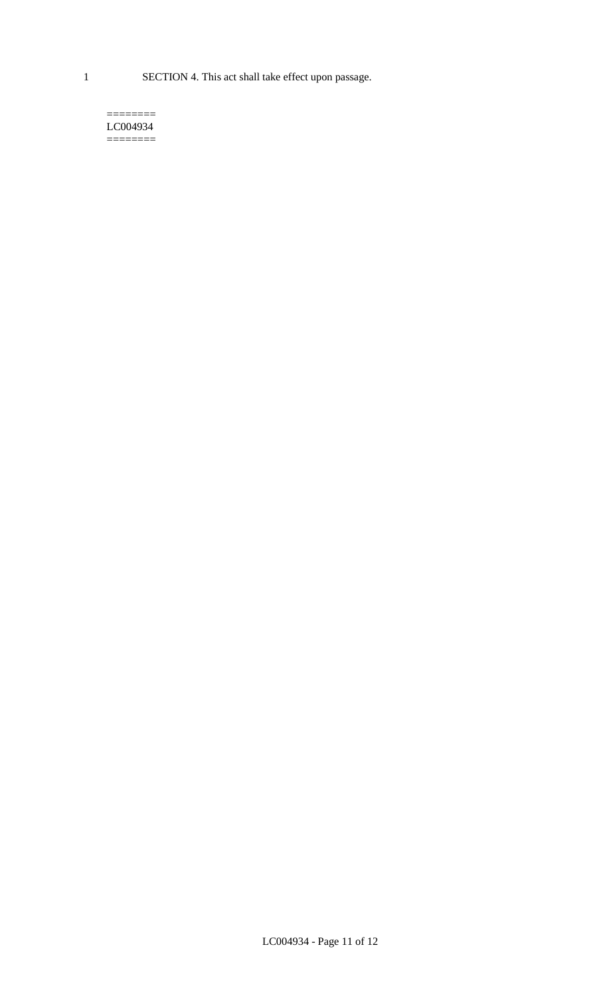1 SECTION 4. This act shall take effect upon passage.

#### $=$ LC004934  $=$